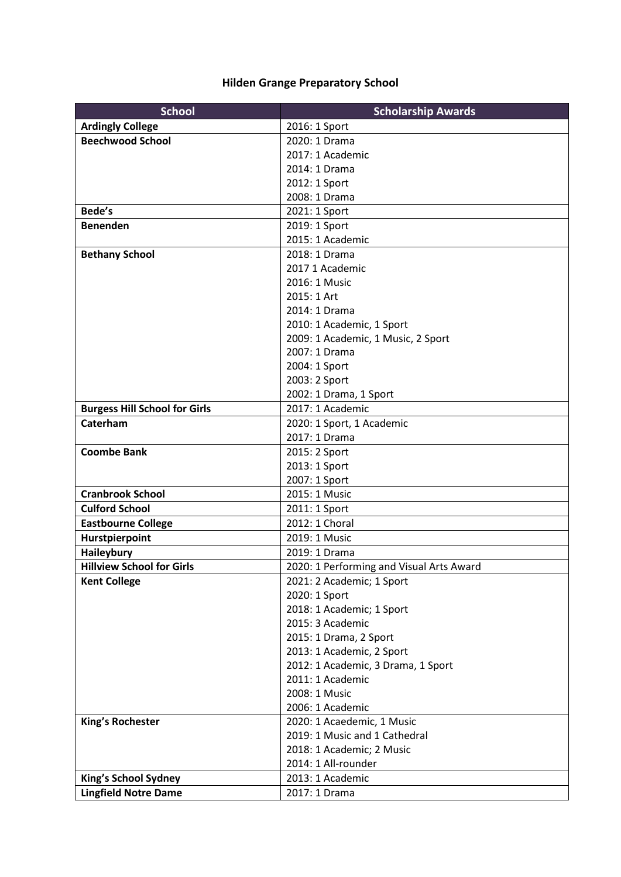## **Hilden Grange Preparatory School**

| <b>School</b>                        | <b>Scholarship Awards</b>                |
|--------------------------------------|------------------------------------------|
| <b>Ardingly College</b>              | 2016: 1 Sport                            |
| <b>Beechwood School</b>              | 2020: 1 Drama                            |
|                                      | 2017: 1 Academic                         |
|                                      | 2014: 1 Drama                            |
|                                      | 2012: 1 Sport                            |
|                                      | 2008: 1 Drama                            |
| Bede's                               | 2021: 1 Sport                            |
| <b>Benenden</b>                      | 2019: 1 Sport                            |
|                                      | 2015: 1 Academic                         |
| <b>Bethany School</b>                | 2018: 1 Drama                            |
|                                      | 2017 1 Academic                          |
|                                      | 2016: 1 Music                            |
|                                      | 2015: 1 Art                              |
|                                      | 2014: 1 Drama                            |
|                                      | 2010: 1 Academic, 1 Sport                |
|                                      | 2009: 1 Academic, 1 Music, 2 Sport       |
|                                      | 2007: 1 Drama                            |
|                                      | 2004: 1 Sport                            |
|                                      | 2003: 2 Sport                            |
|                                      | 2002: 1 Drama, 1 Sport                   |
| <b>Burgess Hill School for Girls</b> | 2017: 1 Academic                         |
| Caterham                             | 2020: 1 Sport, 1 Academic                |
|                                      | 2017: 1 Drama                            |
| <b>Coombe Bank</b>                   | 2015: 2 Sport                            |
|                                      | 2013: 1 Sport                            |
|                                      | 2007: 1 Sport                            |
| <b>Cranbrook School</b>              | 2015: 1 Music                            |
| <b>Culford School</b>                | 2011: 1 Sport                            |
| <b>Eastbourne College</b>            | 2012: 1 Choral                           |
| Hurstpierpoint                       | 2019: 1 Music                            |
| <b>Haileybury</b>                    | 2019: 1 Drama                            |
| <b>Hillview School for Girls</b>     | 2020: 1 Performing and Visual Arts Award |
| <b>Kent College</b>                  | 2021: 2 Academic; 1 Sport                |
|                                      | 2020: 1 Sport                            |
|                                      | 2018: 1 Academic; 1 Sport                |
|                                      | 2015: 3 Academic                         |
|                                      | 2015: 1 Drama, 2 Sport                   |
|                                      | 2013: 1 Academic, 2 Sport                |
|                                      | 2012: 1 Academic, 3 Drama, 1 Sport       |
|                                      | 2011: 1 Academic                         |
|                                      | 2008: 1 Music                            |
|                                      | 2006: 1 Academic                         |
| <b>King's Rochester</b>              | 2020: 1 Acaedemic, 1 Music               |
|                                      | 2019: 1 Music and 1 Cathedral            |
|                                      | 2018: 1 Academic; 2 Music                |
|                                      | 2014: 1 All-rounder                      |
| King's School Sydney                 | 2013: 1 Academic                         |
| <b>Lingfield Notre Dame</b>          | 2017: 1 Drama                            |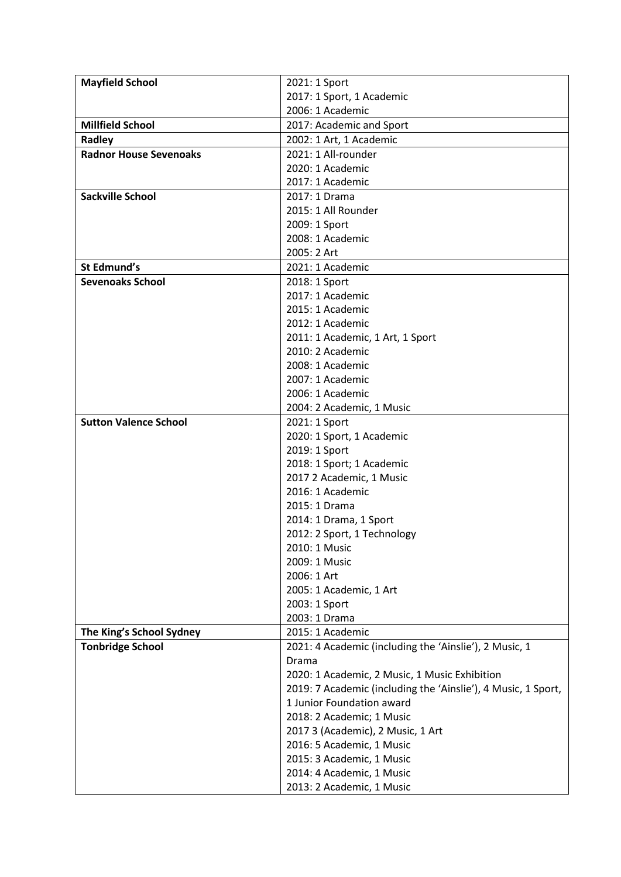| <b>Mayfield School</b>        | 2021: 1 Sport                                                 |
|-------------------------------|---------------------------------------------------------------|
|                               | 2017: 1 Sport, 1 Academic                                     |
|                               | 2006: 1 Academic                                              |
|                               |                                                               |
| <b>Millfield School</b>       | 2017: Academic and Sport                                      |
| Radley                        | 2002: 1 Art, 1 Academic                                       |
| <b>Radnor House Sevenoaks</b> | 2021: 1 All-rounder                                           |
|                               | 2020: 1 Academic                                              |
|                               | 2017: 1 Academic                                              |
| <b>Sackville School</b>       | 2017: 1 Drama                                                 |
|                               | 2015: 1 All Rounder                                           |
|                               | 2009: 1 Sport                                                 |
|                               | 2008: 1 Academic                                              |
|                               | 2005: 2 Art                                                   |
| St Edmund's                   | 2021: 1 Academic                                              |
| <b>Sevenoaks School</b>       | 2018: 1 Sport                                                 |
|                               | 2017: 1 Academic                                              |
|                               | 2015: 1 Academic                                              |
|                               | 2012: 1 Academic                                              |
|                               | 2011: 1 Academic, 1 Art, 1 Sport                              |
|                               | 2010: 2 Academic                                              |
|                               | 2008: 1 Academic                                              |
|                               | 2007: 1 Academic                                              |
|                               | 2006: 1 Academic                                              |
|                               | 2004: 2 Academic, 1 Music                                     |
| <b>Sutton Valence School</b>  | 2021: 1 Sport                                                 |
|                               | 2020: 1 Sport, 1 Academic                                     |
|                               | 2019: 1 Sport                                                 |
|                               | 2018: 1 Sport; 1 Academic                                     |
|                               | 2017 2 Academic, 1 Music                                      |
|                               | 2016: 1 Academic                                              |
|                               | 2015: 1 Drama                                                 |
|                               |                                                               |
|                               | 2014: 1 Drama, 1 Sport                                        |
|                               | 2012: 2 Sport, 1 Technology                                   |
|                               | 2010: 1 Music                                                 |
|                               | 2009: 1 Music                                                 |
|                               | 2006: 1 Art                                                   |
|                               | 2005: 1 Academic, 1 Art                                       |
|                               | 2003: 1 Sport                                                 |
|                               | 2003: 1 Drama                                                 |
| The King's School Sydney      | 2015: 1 Academic                                              |
| <b>Tonbridge School</b>       | 2021: 4 Academic (including the 'Ainslie'), 2 Music, 1        |
|                               | Drama                                                         |
|                               | 2020: 1 Academic, 2 Music, 1 Music Exhibition                 |
|                               | 2019: 7 Academic (including the 'Ainslie'), 4 Music, 1 Sport, |
|                               | 1 Junior Foundation award                                     |
|                               | 2018: 2 Academic; 1 Music                                     |
|                               | 2017 3 (Academic), 2 Music, 1 Art                             |
|                               | 2016: 5 Academic, 1 Music                                     |
|                               | 2015: 3 Academic, 1 Music                                     |
|                               | 2014: 4 Academic, 1 Music                                     |
|                               | 2013: 2 Academic, 1 Music                                     |